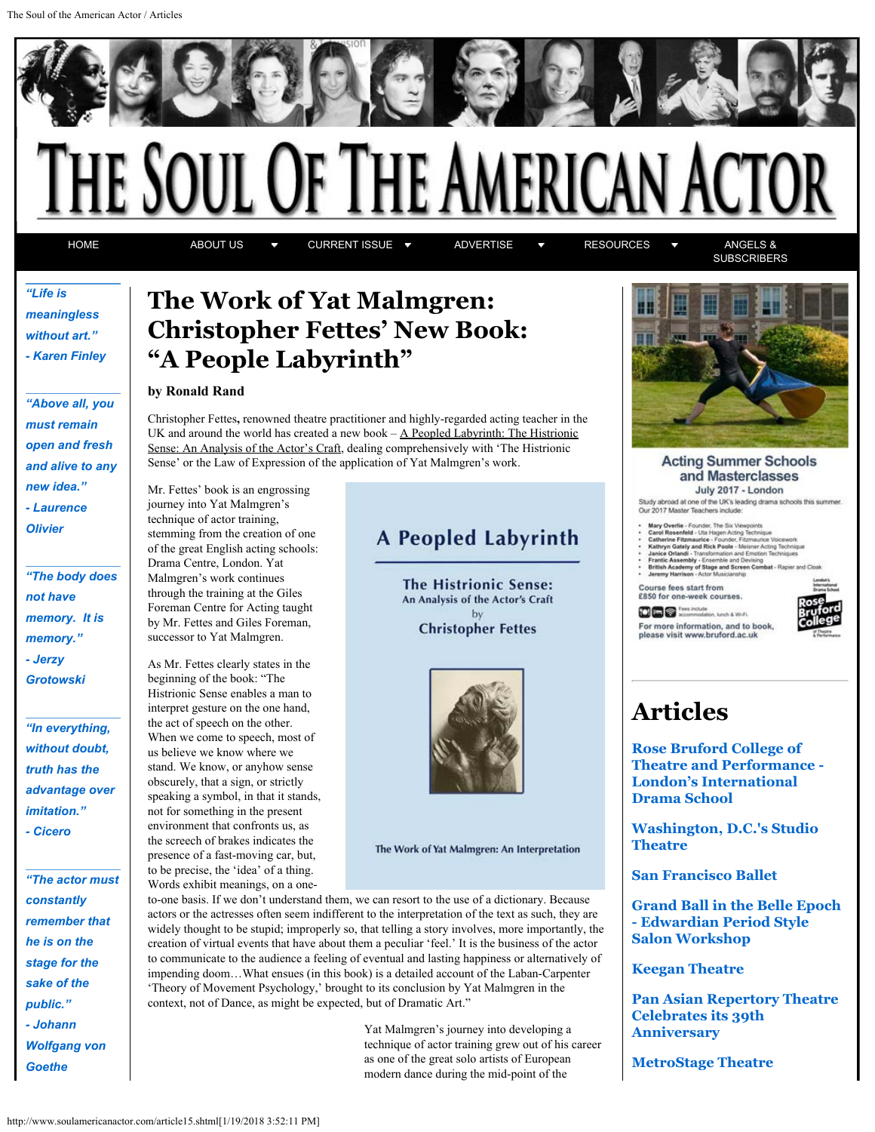<span id="page-0-0"></span>

[HOME](http://www.soulamericanactor.com/index.shtml) [ABOUT US](http://www.soulamericanactor.com/about.shtml) TO [CURRENT ISSUE](#page-0-0) TO [ADVERTISE](http://www.soulamericanactor.com/advertise.shtml) TO [RESOURCES](http://www.soulamericanactor.com/resources.shtml) TO [ANGELS &](http://www.soulamericanactor.com/angels.shtml)

**[SUBSCRIBERS](http://www.soulamericanactor.com/angels.shtml)** 

### *"Life is meaningless without art." - Karen Finley*

*"Above all, you must remain open and fresh and alive to any new idea." - Laurence Olivier*

*"The body does not have memory. It is memory." - Jerzy Grotowski*

*"In everything, without doubt, truth has the advantage over imitation." - Cicero*

*"The actor must constantly remember that he is on the stage for the sake of the public." - Johann Wolfgang von Goethe*

## **The Work of Yat Malmgren: Christopher Fettes' New Book: "A People Labyrinth"**

#### **by Ronald Rand**

Mr. Fettes' book is an engrossing journey into Yat Malmgren's technique of actor training, stemming from the creation of one of the great English acting schools: Drama Centre, London. Yat Malmgren's work continues through the training at the Giles Foreman Centre for Acting taught by Mr. Fettes and Giles Foreman, successor to Yat Malmgren.

As Mr. Fettes clearly states in the beginning of the book: "The Histrionic Sense enables a man to interpret gesture on the one hand, the act of speech on the other. When we come to speech, most of us believe we know where we stand. We know, or anyhow sense obscurely, that a sign, or strictly speaking a symbol, in that it stands, not for something in the present environment that confronts us, as the screech of brakes indicates the presence of a fast-moving car, but, to be precise, the 'idea' of a thing.

Christopher Fettes**,** renowned theatre practitioner and highly-regarded acting teacher in the UK and around the world has created a new book  $A$  Peopled Labyrinth: The Histrionic Sense: An Analysis of the Actor's Craft, dealing comprehensively with 'The Histrionic Sense' or the Law of Expression of the application of Yat Malmgren's work.

**A Peopled Labyrinth** 

**The Histrionic Sense:** An Analysis of the Actor's Craft by **Christopher Fettes** 



The Work of Yat Malmgren: An Interpretation

Words exhibit meanings, on a oneto-one basis. If we don't understand them, we can resort to the use of a dictionary. Because actors or the actresses often seem indifferent to the interpretation of the text as such, they are widely thought to be stupid; improperly so, that telling a story involves, more importantly, the creation of virtual events that have about them a peculiar 'feel.' It is the business of the actor to communicate to the audience a feeling of eventual and lasting happiness or alternatively of impending doom…What ensues (in this book) is a detailed account of the Laban-Carpenter 'Theory of Movement Psychology,' brought to its conclusion by Yat Malmgren in the context, not of Dance, as might be expected, but of Dramatic Art."

> Yat Malmgren's journey into developing a technique of actor training grew out of his career as one of the great solo artists of European modern dance during the mid-point of the



#### **Acting Summer Schools** and Masterclasses July 2017 - London

Study abroad at one of the UK's leading drama schools this summer<br>Our 2017 Master Teachers include:

- 
- 
- Mary Overlie Founder, The Six Viewpoints<br>Carel Rosenfeld Uita Hagen Acting Technique<br>Catherine Fitzmaurice Founder, Fitzmaurice Voicework<br>Kathryn Gately and Rick Poole Melence Acting Technique<br>Janice Otherine Tenri
- 

Course fees start from<br>£850 for one-week courses

**DER** Feet include For more information, and to book please visit www.bruford.ac.uk



# **Articles**

**[Rose Bruford College of](http://www.soulamericanactor.com/article01.shtml) [Theatre and Performance -](http://www.soulamericanactor.com/article01.shtml) [London's International](http://www.soulamericanactor.com/article01.shtml) [Drama School](http://www.soulamericanactor.com/article01.shtml)**

**[Washington, D.C.'s Studio](http://www.soulamericanactor.com/article02.shtml) [Theatre](http://www.soulamericanactor.com/article02.shtml)**

**[San Francisco Ballet](http://www.soulamericanactor.com/article03.shtml)**

**[Grand Ball in the Belle Epoch](http://www.soulamericanactor.com/article21.shtml) [- Edwardian Period Style](http://www.soulamericanactor.com/article21.shtml) [Salon Workshop](http://www.soulamericanactor.com/article21.shtml)**

**[Keegan Theatre](http://www.soulamericanactor.com/article04.shtml)**

**[Pan Asian Repertory Theatre](http://www.soulamericanactor.com/article23.shtml) [Celebrates its 39th](http://www.soulamericanactor.com/article23.shtml) [Anniversary](http://www.soulamericanactor.com/article23.shtml)**

**[MetroStage Theatre](http://www.soulamericanactor.com/article05.shtml)**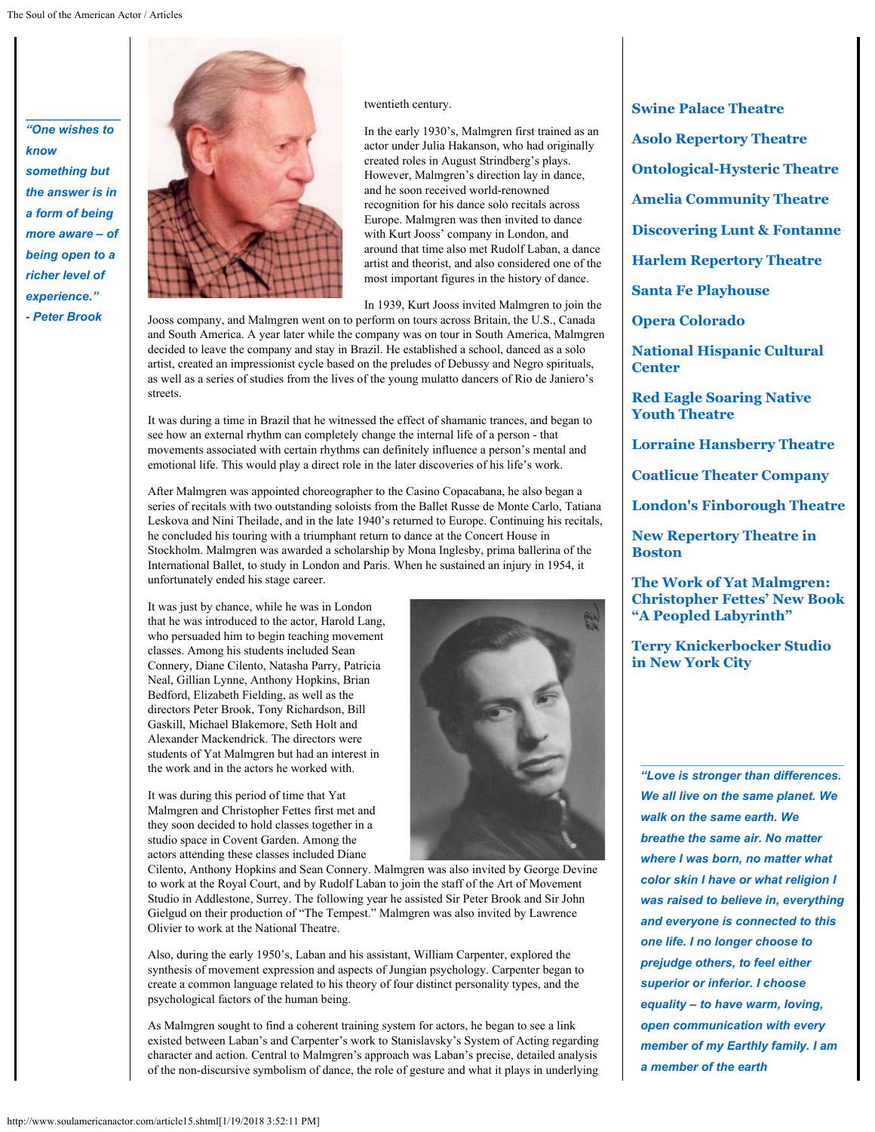*"One wishes to know something but the answer is in a form of being more aware – of being open to a richer level of experience." - Peter Brook*



twentieth century.

In the early 1930's, Malmgren first trained as an actor under Julia Hakanson, who had originally created roles in August Strindberg's plays. However, Malmgren's direction lay in dance, and he soon received world-renowned recognition for his dance solo recitals across Europe. Malmgren was then invited to dance with Kurt Jooss' company in London, and around that time also met Rudolf Laban, a dance artist and theorist, and also considered one of the most important figures in the history of dance.

In 1939, Kurt Jooss invited Malmgren to join the

Jooss company, and Malmgren went on to perform on tours across Britain, the U.S., Canada and South America. A year later while the company was on tour in South America, Malmgren decided to leave the company and stay in Brazil. He established a school, danced as a solo artist, created an impressionist cycle based on the preludes of Debussy and Negro spirituals, as well as a series of studies from the lives of the young mulatto dancers of Rio de Janiero's streets.

It was during a time in Brazil that he witnessed the effect of shamanic trances, and began to see how an external rhythm can completely change the internal life of a person - that movements associated with certain rhythms can definitely influence a person's mental and emotional life. This would play a direct role in the later discoveries of his life's work.

After Malmgren was appointed choreographer to the Casino Copacabana, he also began a series of recitals with two outstanding soloists from the Ballet Russe de Monte Carlo, Tatiana Leskova and Nini Theilade, and in the late 1940's returned to Europe. Continuing his recitals, he concluded his touring with a triumphant return to dance at the Concert House in Stockholm. Malmgren was awarded a scholarship by Mona Inglesby, prima ballerina of the International Ballet, to study in London and Paris. When he sustained an injury in 1954, it unfortunately ended his stage career.

It was just by chance, while he was in London that he was introduced to the actor, Harold Lang, who persuaded him to begin teaching movement classes. Among his students included Sean Connery, Diane Cilento, Natasha Parry, Patricia Neal, Gillian Lynne, Anthony Hopkins, Brian Bedford, Elizabeth Fielding, as well as the directors Peter Brook, Tony Richardson, Bill Gaskill, Michael Blakemore, Seth Holt and Alexander Mackendrick. The directors were students of Yat Malmgren but had an interest in the work and in the actors he worked with.

It was during this period of time that Yat Malmgren and Christopher Fettes first met and they soon decided to hold classes together in a studio space in Covent Garden. Among the actors attending these classes included Diane

Cilento, Anthony Hopkins and Sean Connery. Malmgren was also invited by George Devine to work at the Royal Court, and by Rudolf Laban to join the staff of the Art of Movement Studio in Addlestone, Surrey. The following year he assisted Sir Peter Brook and Sir John Gielgud on their production of "The Tempest." Malmgren was also invited by Lawrence Olivier to work at the National Theatre.

Also, during the early 1950's, Laban and his assistant, William Carpenter, explored the synthesis of movement expression and aspects of Jungian psychology. Carpenter began to create a common language related to his theory of four distinct personality types, and the psychological factors of the human being.

As Malmgren sought to find a coherent training system for actors, he began to see a link existed between Laban's and Carpenter's work to Stanislavsky's System of Acting regarding character and action. Central to Malmgren's approach was Laban's precise, detailed analysis of the non-discursive symbolism of dance, the role of gesture and what it plays in underlying **[Swine Palace Theatre](http://www.soulamericanactor.com/article06.shtml) [Asolo Repertory Theatre](http://www.soulamericanactor.com/article08.shtml) [Ontological-Hysteric Theatre](http://www.soulamericanactor.com/article07.shtml) [Amelia Community Theatre](http://www.soulamericanactor.com/article09.shtml) [Discovering Lunt & Fontanne](http://www.soulamericanactor.com/article10.shtml) [Harlem Repertory Theatre](http://www.soulamericanactor.com/article11.shtml)**

**[Santa Fe Playhouse](http://www.soulamericanactor.com/article12.shtml)**

**[Opera Colorado](http://www.soulamericanactor.com/article13.shtml)**

**[National Hispanic Cultural](http://www.soulamericanactor.com/article14.shtml) [Center](http://www.soulamericanactor.com/article14.shtml)**

**[Red Eagle Soaring Native](http://www.soulamericanactor.com/article16.shtml) [Youth Theatre](http://www.soulamericanactor.com/article16.shtml)**

**[Lorraine Hansberry Theatre](http://www.soulamericanactor.com/article17.shtml)**

**[Coatlicue Theater Company](http://www.soulamericanactor.com/article18.shtml)**

**[London's Finborough Theatre](http://www.soulamericanactor.com/article19.shtml)**

**[New Repertory Theatre in](http://www.soulamericanactor.com/article20.shtml) [Boston](http://www.soulamericanactor.com/article20.shtml)**

**[The Work of Yat Malmgren:](#page-0-0) [Christopher Fettes' New Book](#page-0-0) ["A Peopled Labyrinth"](#page-0-0)**

**[Terry Knickerbocker Studio](http://www.soulamericanactor.com/article22.shtml) [in New York City](http://www.soulamericanactor.com/article22.shtml)**

*"Love is stronger than differences. We all live on the same planet. We walk on the same earth. We breathe the same air. No matter where I was born, no matter what color skin I have or what religion I was raised to believe in, everything and everyone is connected to this one life. I no longer choose to prejudge others, to feel either superior or inferior. I choose equality – to have warm, loving, open communication with every member of my Earthly family. I am a member of the earth*

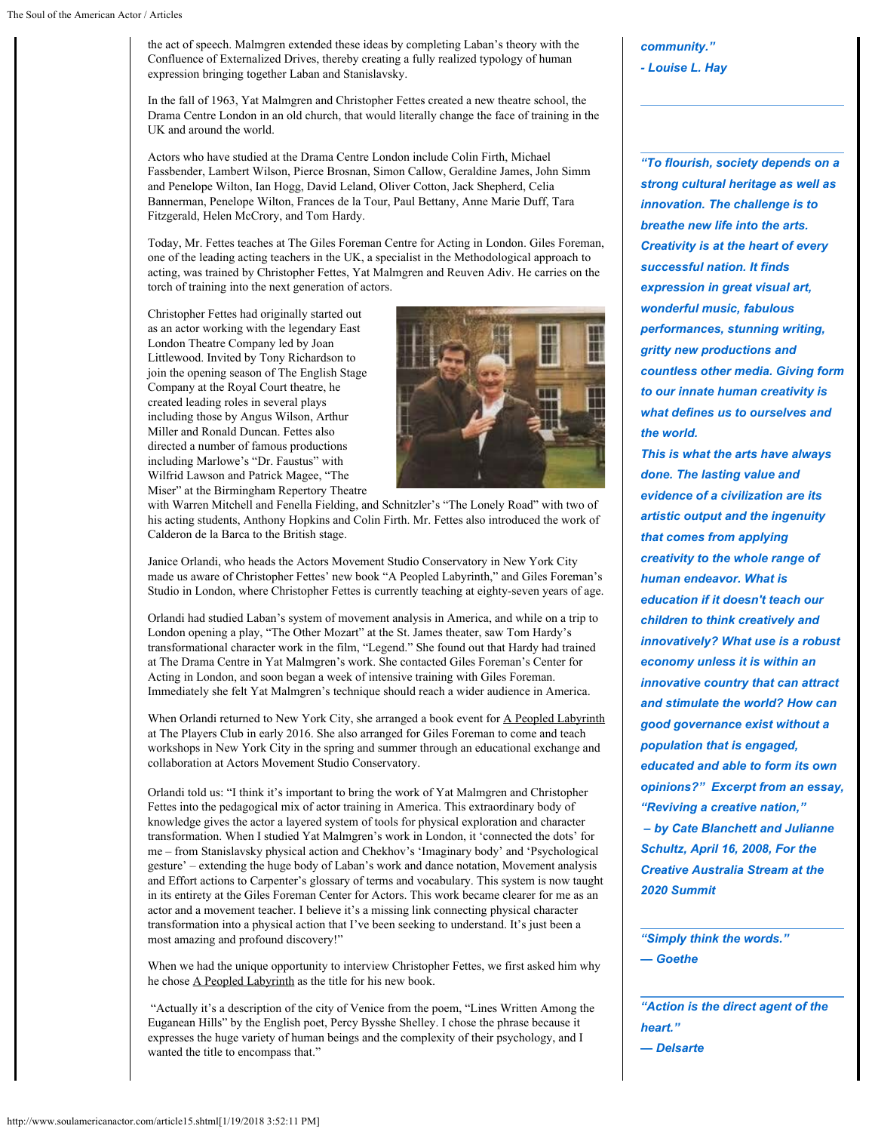the act of speech. Malmgren extended these ideas by completing Laban's theory with the Confluence of Externalized Drives, thereby creating a fully realized typology of human expression bringing together Laban and Stanislavsky.

In the fall of 1963, Yat Malmgren and Christopher Fettes created a new theatre school, the Drama Centre London in an old church, that would literally change the face of training in the UK and around the world.

Actors who have studied at the Drama Centre London include Colin Firth, Michael Fassbender, Lambert Wilson, Pierce Brosnan, Simon Callow, Geraldine James, John Simm and Penelope Wilton, Ian Hogg, David Leland, Oliver Cotton, Jack Shepherd, Celia Bannerman, Penelope Wilton, Frances de la Tour, Paul Bettany, Anne Marie Duff, Tara Fitzgerald, Helen McCrory, and Tom Hardy.

Today, Mr. Fettes teaches at The Giles Foreman Centre for Acting in London. Giles Foreman, one of the leading acting teachers in the UK, a specialist in the Methodological approach to acting, was trained by Christopher Fettes, Yat Malmgren and Reuven Adiv. He carries on the torch of training into the next generation of actors.

Christopher Fettes had originally started out as an actor working with the legendary East London Theatre Company led by Joan Littlewood. Invited by Tony Richardson to join the opening season of The English Stage Company at the Royal Court theatre, he created leading roles in several plays including those by Angus Wilson, Arthur Miller and Ronald Duncan. Fettes also directed a number of famous productions including Marlowe's "Dr. Faustus" with Wilfrid Lawson and Patrick Magee, "The Miser" at the Birmingham Repertory Theatre



with Warren Mitchell and Fenella Fielding, and Schnitzler's "The Lonely Road" with two of his acting students, Anthony Hopkins and Colin Firth. Mr. Fettes also introduced the work of Calderon de la Barca to the British stage.

Janice Orlandi, who heads the Actors Movement Studio Conservatory in New York City made us aware of Christopher Fettes' new book "A Peopled Labyrinth," and Giles Foreman's Studio in London, where Christopher Fettes is currently teaching at eighty-seven years of age.

Orlandi had studied Laban's system of movement analysis in America, and while on a trip to London opening a play, "The Other Mozart" at the St. James theater, saw Tom Hardy's transformational character work in the film, "Legend." She found out that Hardy had trained at The Drama Centre in Yat Malmgren's work. She contacted Giles Foreman's Center for Acting in London, and soon began a week of intensive training with Giles Foreman. Immediately she felt Yat Malmgren's technique should reach a wider audience in America.

When Orlandi returned to New York City, she arranged a book event for A Peopled Labyrinth at The Players Club in early 2016. She also arranged for Giles Foreman to come and teach workshops in New York City in the spring and summer through an educational exchange and collaboration at Actors Movement Studio Conservatory.

Orlandi told us: "I think it's important to bring the work of Yat Malmgren and Christopher Fettes into the pedagogical mix of actor training in America. This extraordinary body of knowledge gives the actor a layered system of tools for physical exploration and character transformation. When I studied Yat Malmgren's work in London, it 'connected the dots' for me – from Stanislavsky physical action and Chekhov's 'Imaginary body' and 'Psychological gesture' – extending the huge body of Laban's work and dance notation, Movement analysis and Effort actions to Carpenter's glossary of terms and vocabulary. This system is now taught in its entirety at the Giles Foreman Center for Actors. This work became clearer for me as an actor and a movement teacher. I believe it's a missing link connecting physical character transformation into a physical action that I've been seeking to understand. It's just been a most amazing and profound discovery!"

When we had the unique opportunity to interview Christopher Fettes, we first asked him why he chose A Peopled Labyrinth as the title for his new book.

"Actually it's a description of the city of Venice from the poem, "Lines Written Among the Euganean Hills" by the English poet, Percy Bysshe Shelley. I chose the phrase because it expresses the huge variety of human beings and the complexity of their psychology, and I wanted the title to encompass that."

*community." - Louise L. Hay*

*"To flourish, society depends on a strong cultural heritage as well as innovation. The challenge is to breathe new life into the arts. Creativity is at the heart of every successful nation. It finds expression in great visual art, wonderful music, fabulous performances, stunning writing, gritty new productions and countless other media. Giving form to our innate human creativity is what defines us to ourselves and the world.*

*This is what the arts have always done. The lasting value and evidence of a civilization are its artistic output and the ingenuity that comes from applying creativity to the whole range of human endeavor. What is education if it doesn't teach our children to think creatively and innovatively? What use is a robust economy unless it is within an innovative country that can attract and stimulate the world? How can good governance exist without a population that is engaged, educated and able to form its own opinions?" Excerpt from an essay, "Reviving a creative nation," – by Cate Blanchett and Julianne Schultz, April 16, 2008, For the Creative Australia Stream at the*

*"Simply think the words." — Goethe*

*2020 Summit*

*"Action is the direct agent of the heart." — Delsarte*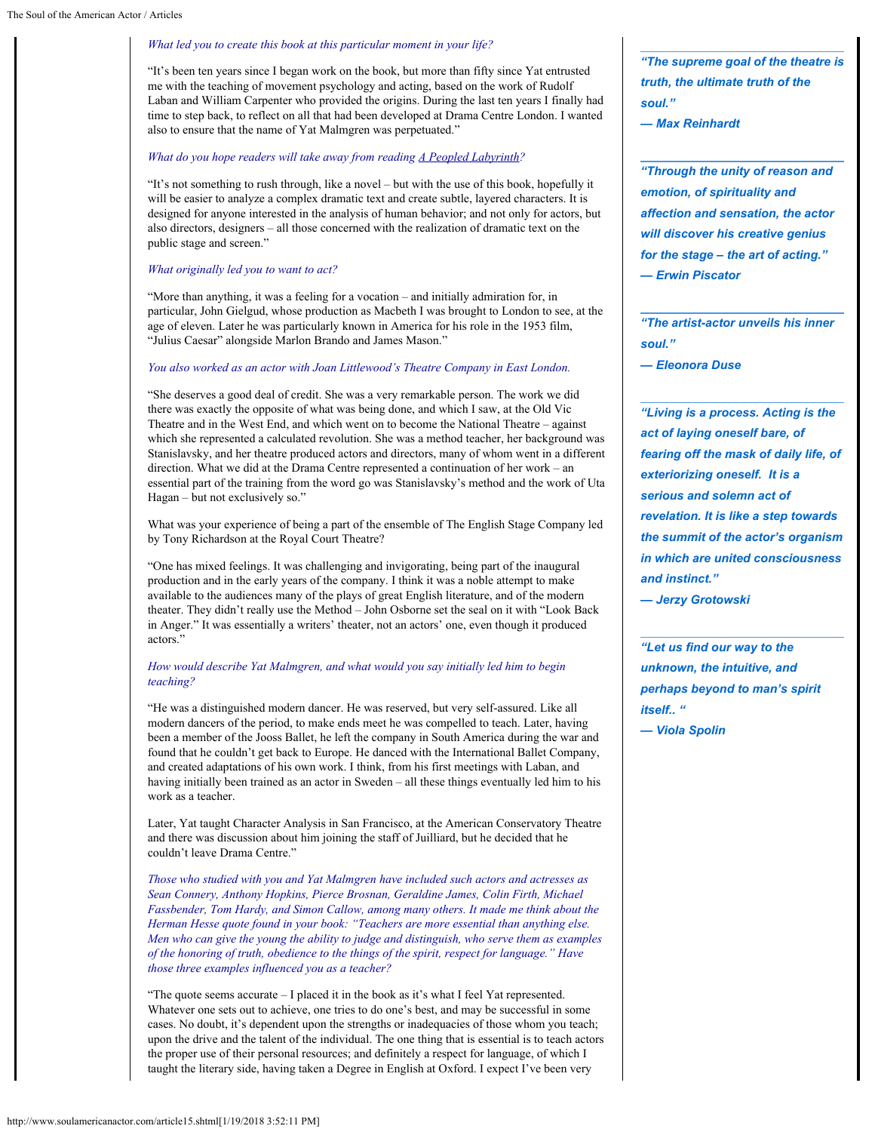#### *What led you to create this book at this particular moment in your life?*

"It's been ten years since I began work on the book, but more than fifty since Yat entrusted me with the teaching of movement psychology and acting, based on the work of Rudolf Laban and William Carpenter who provided the origins. During the last ten years I finally had time to step back, to reflect on all that had been developed at Drama Centre London. I wanted also to ensure that the name of Yat Malmgren was perpetuated."

#### *What do you hope readers will take away from reading A Peopled Labyrinth?*

"It's not something to rush through, like a novel – but with the use of this book, hopefully it will be easier to analyze a complex dramatic text and create subtle, layered characters. It is designed for anyone interested in the analysis of human behavior; and not only for actors, but also directors, designers – all those concerned with the realization of dramatic text on the public stage and screen."

#### *What originally led you to want to act?*

"More than anything, it was a feeling for a vocation – and initially admiration for, in particular, John Gielgud, whose production as Macbeth I was brought to London to see, at the age of eleven. Later he was particularly known in America for his role in the 1953 film, "Julius Caesar" alongside Marlon Brando and James Mason."

#### *You also worked as an actor with Joan Littlewood's Theatre Company in East London.*

"She deserves a good deal of credit. She was a very remarkable person. The work we did there was exactly the opposite of what was being done, and which I saw, at the Old Vic Theatre and in the West End, and which went on to become the National Theatre – against which she represented a calculated revolution. She was a method teacher, her background was Stanislavsky, and her theatre produced actors and directors, many of whom went in a different direction. What we did at the Drama Centre represented a continuation of her work – an essential part of the training from the word go was Stanislavsky's method and the work of Uta Hagan – but not exclusively so."

What was your experience of being a part of the ensemble of The English Stage Company led by Tony Richardson at the Royal Court Theatre?

"One has mixed feelings. It was challenging and invigorating, being part of the inaugural production and in the early years of the company. I think it was a noble attempt to make available to the audiences many of the plays of great English literature, and of the modern theater. They didn't really use the Method – John Osborne set the seal on it with "Look Back in Anger." It was essentially a writers' theater, not an actors' one, even though it produced actors."

#### *How would describe Yat Malmgren, and what would you say initially led him to begin teaching?*

"He was a distinguished modern dancer. He was reserved, but very self-assured. Like all modern dancers of the period, to make ends meet he was compelled to teach. Later, having been a member of the Jooss Ballet, he left the company in South America during the war and found that he couldn't get back to Europe. He danced with the International Ballet Company, and created adaptations of his own work. I think, from his first meetings with Laban, and having initially been trained as an actor in Sweden – all these things eventually led him to his work as a teacher.

Later, Yat taught Character Analysis in San Francisco, at the American Conservatory Theatre and there was discussion about him joining the staff of Juilliard, but he decided that he couldn't leave Drama Centre."

*Those who studied with you and Yat Malmgren have included such actors and actresses as Sean Connery, Anthony Hopkins, Pierce Brosnan, Geraldine James, Colin Firth, Michael Fassbender, Tom Hardy, and Simon Callow, among many others. It made me think about the Herman Hesse quote found in your book: "Teachers are more essential than anything else. Men who can give the young the ability to judge and distinguish, who serve them as examples of the honoring of truth, obedience to the things of the spirit, respect for language." Have those three examples influenced you as a teacher?*

"The quote seems accurate – I placed it in the book as it's what I feel Yat represented. Whatever one sets out to achieve, one tries to do one's best, and may be successful in some cases. No doubt, it's dependent upon the strengths or inadequacies of those whom you teach; upon the drive and the talent of the individual. The one thing that is essential is to teach actors the proper use of their personal resources; and definitely a respect for language, of which I taught the literary side, having taken a Degree in English at Oxford. I expect I've been very

*"The supreme goal of the theatre is truth, the ultimate truth of the soul."*

*— Max Reinhardt*

*"Through the unity of reason and emotion, of spirituality and affection and sensation, the actor will discover his creative genius for the stage – the art of acting." — Erwin Piscator*

*"The artist-actor unveils his inner soul."*

*— Eleonora Duse*

*"Living is a process. Acting is the act of laying oneself bare, of fearing off the mask of daily life, of exteriorizing oneself. It is a serious and solemn act of revelation. It is like a step towards the summit of the actor's organism in which are united consciousness and instinct."* 

*— Jerzy Grotowski*

*"Let us find our way to the unknown, the intuitive, and perhaps beyond to man's spirit itself.. "* 

*— Viola Spolin*